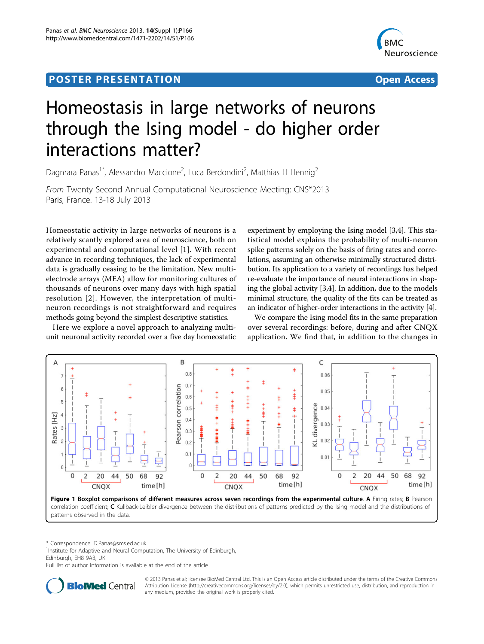# <span id="page-0-0"></span>Post Experimental Police in the St English Police in the St English Police in the St English Police in the St<br>Police in the St English Police in the St English Police in the St English Police in the St English Police in



# Homeostasis in large networks of neurons through the Ising model - do higher order interactions matter?

Dagmara Panas<sup>1\*</sup>, Alessandro Maccione<sup>2</sup>, Luca Berdondini<sup>2</sup>, Matthias H Hennig<sup>2</sup>

From Twenty Second Annual Computational Neuroscience Meeting: CNS\*2013 Paris, France. 13-18 July 2013

Homeostatic activity in large networks of neurons is a relatively scantly explored area of neuroscience, both on experimental and computational level [[1](#page-1-0)]. With recent advance in recording techniques, the lack of experimental data is gradually ceasing to be the limitation. New multielectrode arrays (MEA) allow for monitoring cultures of thousands of neurons over many days with high spatial resolution [[2\]](#page-1-0). However, the interpretation of multineuron recordings is not straightforward and requires methods going beyond the simplest descriptive statistics.

Here we explore a novel approach to analyzing multiunit neuronal activity recorded over a five day homeostatic experiment by employing the Ising model [\[3,4](#page-1-0)]. This statistical model explains the probability of multi-neuron spike patterns solely on the basis of firing rates and correlations, assuming an otherwise minimally structured distribution. Its application to a variety of recordings has helped re-evaluate the importance of neural interactions in shaping the global activity [[3,4\]](#page-1-0). In addition, due to the models minimal structure, the quality of the fits can be treated as an indicator of higher-order interactions in the activity [[4](#page-1-0)].

We compare the Ising model fits in the same preparation over several recordings: before, during and after CNQX application. We find that, in addition to the changes in



\* Correspondence: [D.Panas@sms.ed.ac.uk](mailto:D.Panas@sms.ed.ac.uk)

<sup>1</sup>Institute for Adaptive and Neural Computation, The University of Edinburgh, Edinburgh, EH8 9AB, UK

Full list of author information is available at the end of the article



© 2013 Panas et al; licensee BioMed Central Ltd. This is an Open Access article distributed under the terms of the Creative Commons Attribution License [\(http://creativecommons.org/licenses/by/2.0](http://creativecommons.org/licenses/by/2.0)), which permits unrestricted use, distribution, and reproduction in any medium, provided the original work is properly cited.